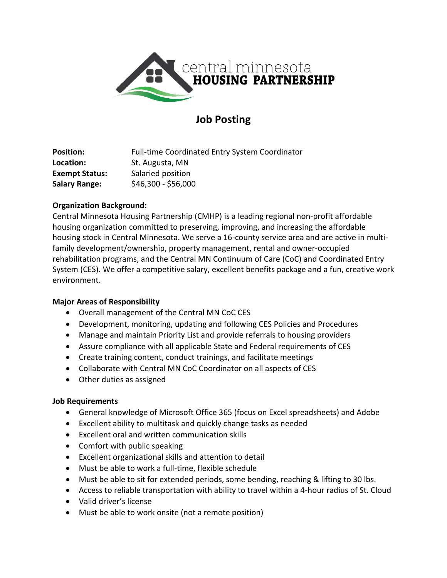

# **Job Posting**

| <b>Position:</b>      | Full-time Coordinated Entry System Coordinator |
|-----------------------|------------------------------------------------|
| Location:             | St. Augusta, MN                                |
| <b>Exempt Status:</b> | Salaried position                              |
| <b>Salary Range:</b>  | $$46,300 - $56,000$                            |

## **Organization Background:**

Central Minnesota Housing Partnership (CMHP) is a leading regional non-profit affordable housing organization committed to preserving, improving, and increasing the affordable housing stock in Central Minnesota. We serve a 16-county service area and are active in multifamily development/ownership, property management, rental and owner-occupied rehabilitation programs, and the Central MN Continuum of Care (CoC) and Coordinated Entry System (CES). We offer a competitive salary, excellent benefits package and a fun, creative work environment.

#### **Major Areas of Responsibility**

- Overall management of the Central MN CoC CES
- Development, monitoring, updating and following CES Policies and Procedures
- Manage and maintain Priority List and provide referrals to housing providers
- Assure compliance with all applicable State and Federal requirements of CES
- Create training content, conduct trainings, and facilitate meetings
- Collaborate with Central MN CoC Coordinator on all aspects of CES
- Other duties as assigned

#### **Job Requirements**

- General knowledge of Microsoft Office 365 (focus on Excel spreadsheets) and Adobe
- Excellent ability to multitask and quickly change tasks as needed
- Excellent oral and written communication skills
- Comfort with public speaking
- Excellent organizational skills and attention to detail
- Must be able to work a full-time, flexible schedule
- Must be able to sit for extended periods, some bending, reaching & lifting to 30 lbs.
- Access to reliable transportation with ability to travel within a 4-hour radius of St. Cloud
- Valid driver's license
- Must be able to work onsite (not a remote position)